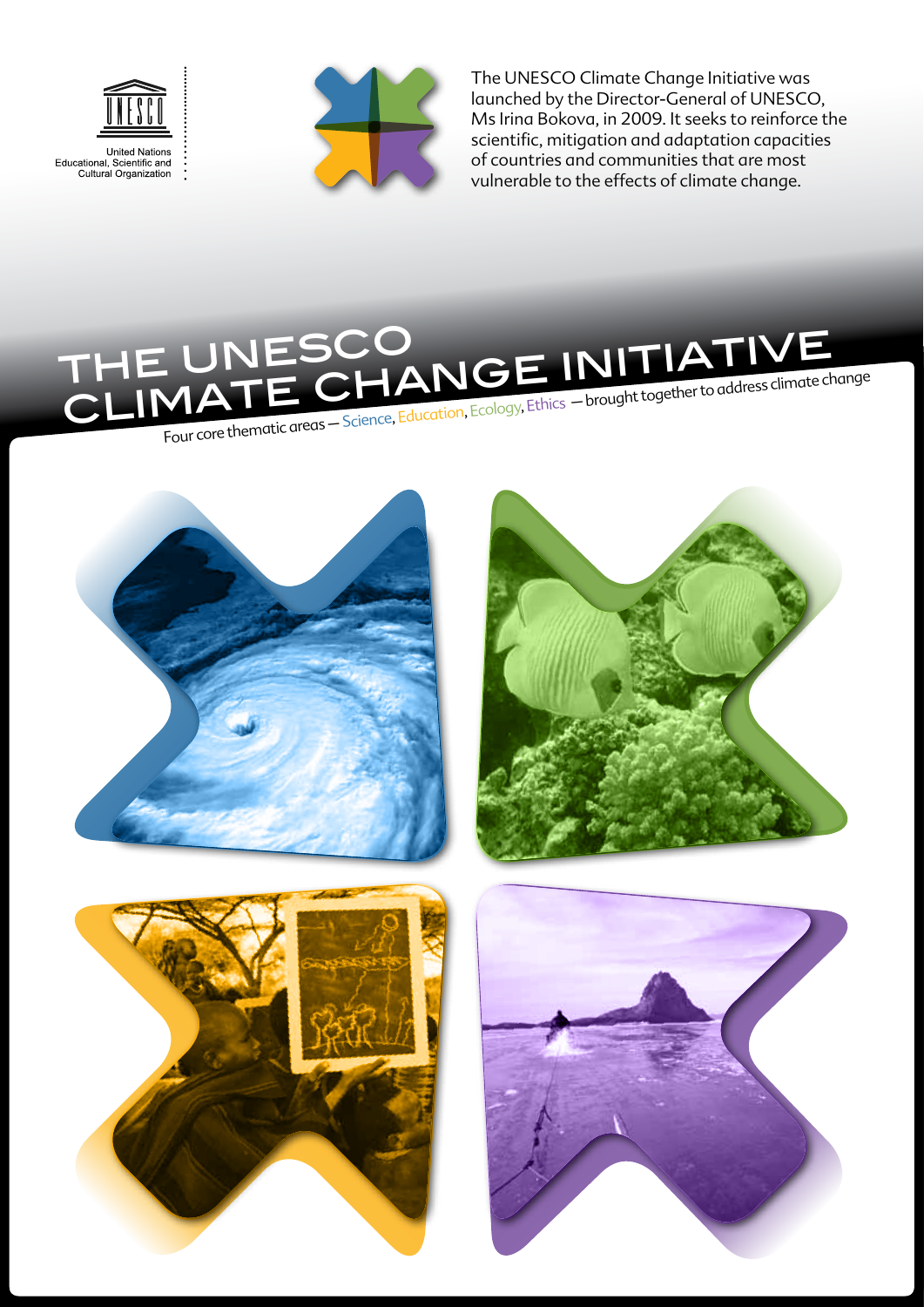



The UNESCO Climate Change Initiative was launched by the Director-General of UNESCO, Ms Irina Bokova, in 2009. It seeks to reinforce the scientific, mitigation and adaptation capacities of countries and communities that are most vulnerable to the effects of climate change.

## UNESCO<br>1ATE CHANGE INITIATIVE THE UNESCO<br>CLIMATE CHANGE INITIATIVE Four core thematic areas – Science, Education, Ecology, Ethics – brought together to address climate change







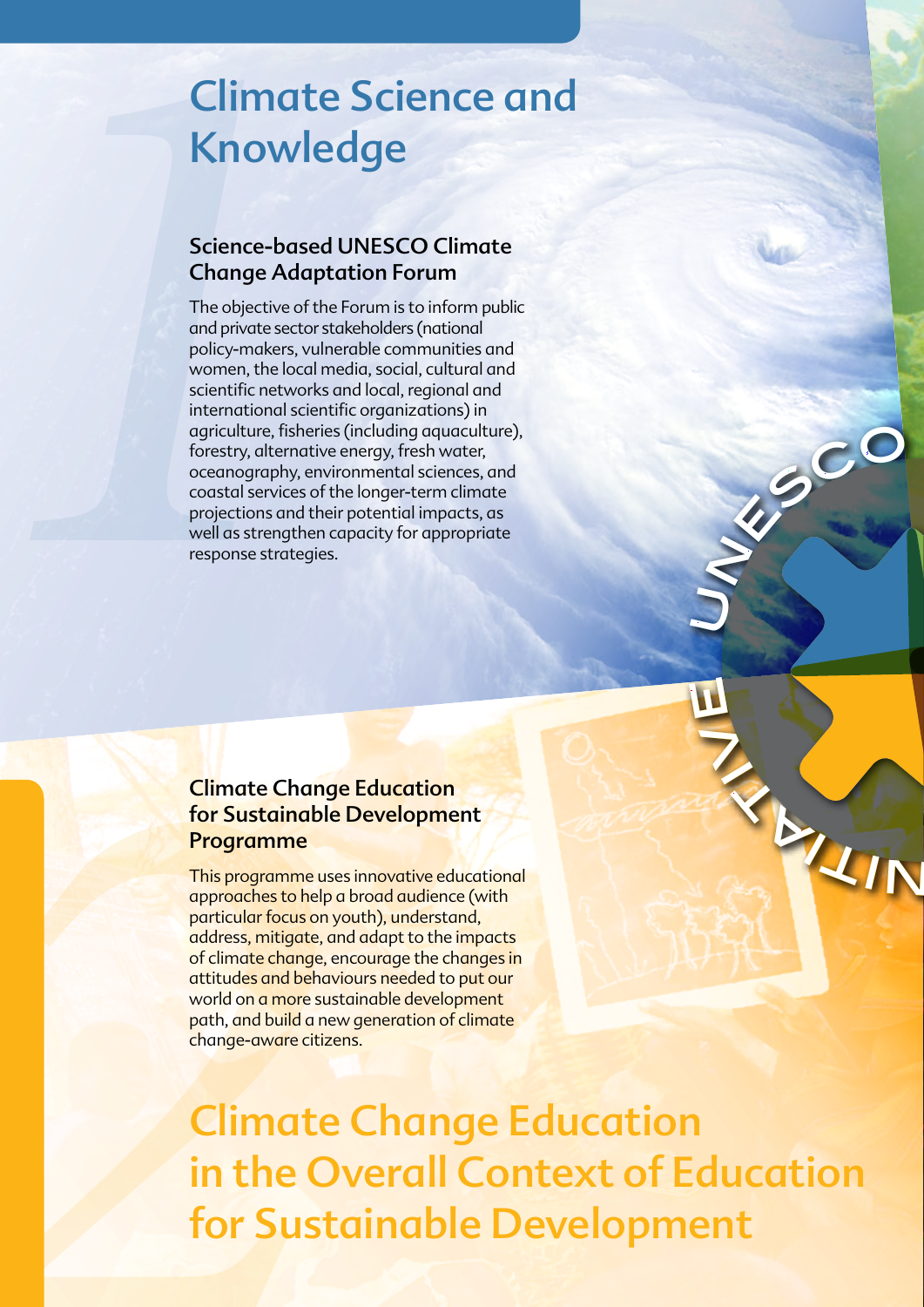## Climate Science and Knowledge

### Science-based UNESCO Climate Change Adaptation Forum

*1* The objective of the Forum is to inform public and private sector stakeholders (national policy-makers, vulnerable communities and women, the local media, social, cultural and scientific networks and local, regional and international scientific organizations) in agriculture, fisheries (including aquaculture), forestry, alternative energy, fresh water, oceanography, environmental sciences, and coastal services of the longer-term climate projections and their potential impacts, as well as strengthen capacity for appropriate response strategies.

### Climate Change Education for Sustainable Development Programme

*2* This programme uses innovative educational approaches to help a broad audience (with particular focus on youth), understand, address, mitigate, and adapt to the impacts of climate change, encourage the changes in attitudes and behaviours needed to put our world on a more sustainable development path, and build a new generation of climate change-aware citizens.

Climate Change Education in the Overall Context of Education for Sustainable Development

u

 $\boldsymbol{\Pi}$ 

t

 $\overline{\mathbf{z}}$ 

<sup>n</sup>esc<sup>o</sup> <sup>c</sup>l<sup>i</sup>mat<sup>e</sup>

 $k_{\text{L}IN}$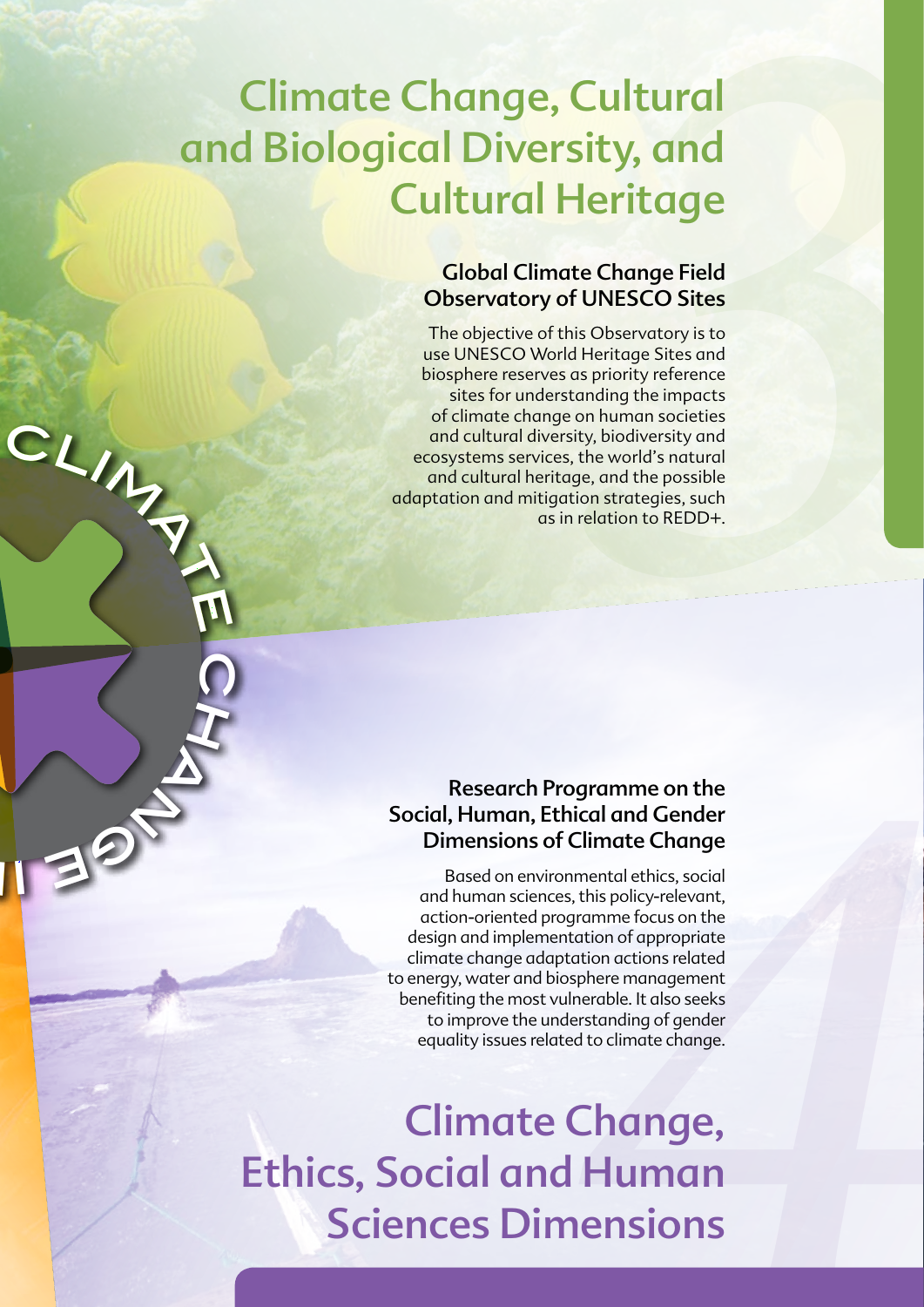# Climate Change, Cultural and Biological Diversity, and Cultural Heritage

CLIA<sub>N</sub>

 $\overline{\Omega}$ 

**HANG** 

i<br>II a

### Global Climate Change Field Observatory of UNESCO Sites

**Cultural**<br> **3***ity, and<br>
Heritage<br>
declares and<br>
declares and<br>
this observatory is to<br>
this observatory is to<br>
deflecting Sites and<br>
standing the impacts<br>
standing the impacts<br>
es, the world's natural<br>
age, and the possib* The objective of this Observatory is to use UNESCO World Heritage Sites and biosphere reserves as priority reference sites for understanding the impacts of climate change on human societies and cultural diversity, biodiversity and ecosystems services, the world's natural and cultural heritage, and the possible adaptation and mitigation strategies, such as in relation to REDD+.

### Research Programme on the Social, Human, Ethical and Gender Dimensions of Climate Change

France of the hical and Gender<br> *A* Climate Change<br> *A* Climate Change<br> *A Climate Change*<br> *A System men focus on the htation of appropriate<br>
<i>A Syshere management*<br> *A* Mangelender and *A* Change.<br> **A Human**<br> **PENSIONS** Based on environmental ethics, social and human sciences, this policy-relevant, action-oriented programme focus on the design and implementation of appropriate climate change adaptation actions related to energy, water and biosphere management benefiting the most vulnerable. It also seeks to improve the understanding of gender equality issues related to climate change.

Climate Change, Ethics, Social and Human Sciences Dimensions